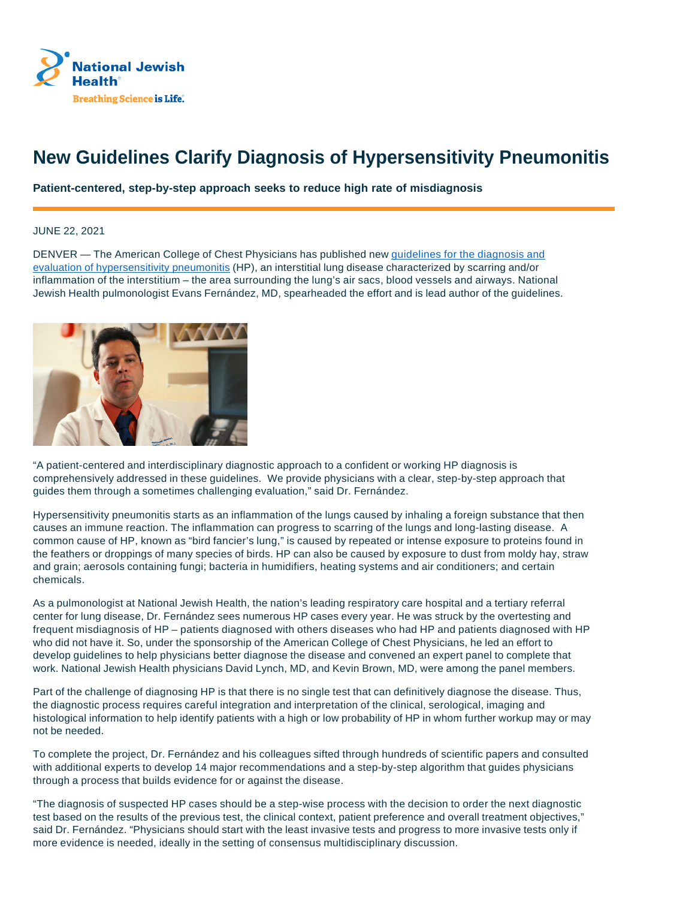

## **New Guidelines Clarify Diagnosis of Hypersensitivity Pneumonitis**

**Patient-centered, step-by-step approach seeks to reduce high rate of misdiagnosis**

## JUNE 22, 2021

DENVER — The American College of Chest Physicians has published new guidelines for the diagnosis and evaluation of hypersensitivity pneumonitis (HP), an interstitial lung disease characterized by scarring and/or inflammation of the interstitium – the area surrounding the lung's air sacs, blood vessels and airways. National Jewish Health pulmonologist Evans Fernández, MD, spearheaded the effort and is lead author of the guidelines.



"A patient-centered and interdisciplinary diagnostic approach to a confident or working HP diagnosis is comprehensively addressed in these guidelines. We provide physicians with a clear, step-by-step approach that guides them through a sometimes challenging evaluation," said Dr. Fernández.

Hypersensitivity pneumonitis starts as an inflammation of the lungs caused by inhaling a foreign substance that then causes an immune reaction. The inflammation can progress to scarring of the lungs and long-lasting disease. A common cause of HP, known as "bird fancier's lung," is caused by repeated or intense exposure to proteins found in the feathers or droppings of many species of birds. HP can also be caused by exposure to dust from moldy hay, straw and grain; aerosols containing fungi; bacteria in humidifiers, heating systems and air conditioners; and certain chemicals.

As a pulmonologist at National Jewish Health, the nation's leading respiratory care hospital and a tertiary referral center for lung disease, Dr. Fernández sees numerous HP cases every year. He was struck by the overtesting and frequent misdiagnosis of HP – patients diagnosed with others diseases who had HP and patients diagnosed with HP who did not have it. So, under the sponsorship of the American College of Chest Physicians, he led an effort to develop guidelines to help physicians better diagnose the disease and convened an expert panel to complete that work. National Jewish Health physicians David Lynch, MD, and Kevin Brown, MD, were among the panel members.

Part of the challenge of diagnosing HP is that there is no single test that can definitively diagnose the disease. Thus, the diagnostic process requires careful integration and interpretation of the clinical, serological, imaging and histological information to help identify patients with a high or low probability of HP in whom further workup may or may not be needed.

To complete the project, Dr. Fernández and his colleagues sifted through hundreds of scientific papers and consulted with additional experts to develop 14 major recommendations and a step-by-step algorithm that guides physicians through a process that builds evidence for or against the disease.

"The diagnosis of suspected HP cases should be a step-wise process with the decision to order the next diagnostic test based on the results of the previous test, the clinical context, patient preference and overall treatment objectives," said Dr. Fernández. "Physicians should start with the least invasive tests and progress to more invasive tests only if more evidence is needed, ideally in the setting of consensus multidisciplinary discussion.